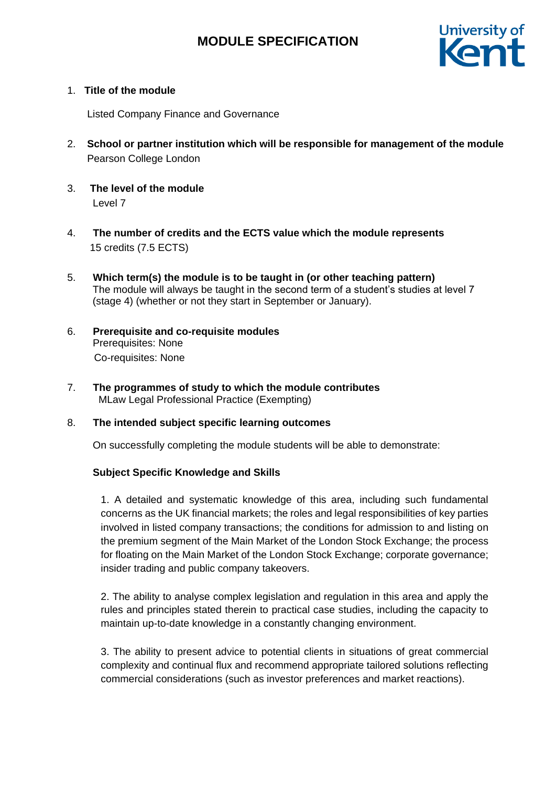

## 1. **Title of the module**

Listed Company Finance and Governance

- 2. **School or partner institution which will be responsible for management of the module** Pearson College London
- 3. **The level of the module**  Level 7
- 4. **The number of credits and the ECTS value which the module represents**  15 credits (7.5 ECTS)
- 5. **Which term(s) the module is to be taught in (or other teaching pattern)** The module will always be taught in the second term of a student's studies at level 7 (stage 4) (whether or not they start in September or January).
- 6. **Prerequisite and co-requisite modules**  Prerequisites: None Co-requisites: None
- 7. **The programmes of study to which the module contributes**  MLaw Legal Professional Practice (Exempting)

## 8. **The intended subject specific learning outcomes**

On successfully completing the module students will be able to demonstrate:

## **Subject Specific Knowledge and Skills**

1. A detailed and systematic knowledge of this area, including such fundamental concerns as the UK financial markets; the roles and legal responsibilities of key parties involved in listed company transactions; the conditions for admission to and listing on the premium segment of the Main Market of the London Stock Exchange; the process for floating on the Main Market of the London Stock Exchange; corporate governance; insider trading and public company takeovers.

2. The ability to analyse complex legislation and regulation in this area and apply the rules and principles stated therein to practical case studies, including the capacity to maintain up-to-date knowledge in a constantly changing environment.

3. The ability to present advice to potential clients in situations of great commercial complexity and continual flux and recommend appropriate tailored solutions reflecting commercial considerations (such as investor preferences and market reactions).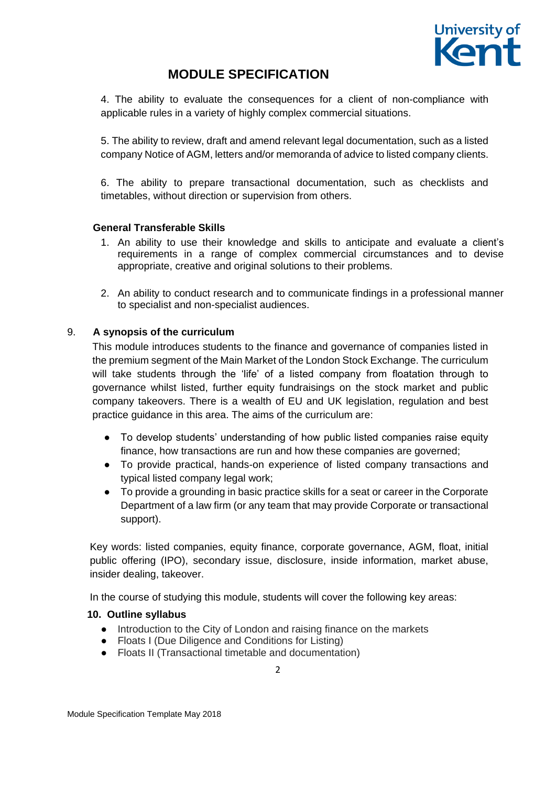

4. The ability to evaluate the consequences for a client of non-compliance with applicable rules in a variety of highly complex commercial situations.

5. The ability to review, draft and amend relevant legal documentation, such as a listed company Notice of AGM, letters and/or memoranda of advice to listed company clients.

6. The ability to prepare transactional documentation, such as checklists and timetables, without direction or supervision from others.

#### **General Transferable Skills**

- 1. An ability to use their knowledge and skills to anticipate and evaluate a client's requirements in a range of complex commercial circumstances and to devise appropriate, creative and original solutions to their problems.
- 2. An ability to conduct research and to communicate findings in a professional manner to specialist and non-specialist audiences.

## 9. **A synopsis of the curriculum**

This module introduces students to the finance and governance of companies listed in the premium segment of the Main Market of the London Stock Exchange. The curriculum will take students through the 'life' of a listed company from floatation through to governance whilst listed, further equity fundraisings on the stock market and public company takeovers. There is a wealth of EU and UK legislation, regulation and best practice guidance in this area. The aims of the curriculum are:

- To develop students' understanding of how public listed companies raise equity finance, how transactions are run and how these companies are governed;
- To provide practical, hands-on experience of listed company transactions and typical listed company legal work;
- To provide a grounding in basic practice skills for a seat or career in the Corporate Department of a law firm (or any team that may provide Corporate or transactional support).

Key words: listed companies, equity finance, corporate governance, AGM, float, initial public offering (IPO), secondary issue, disclosure, inside information, market abuse, insider dealing, takeover.

In the course of studying this module, students will cover the following key areas:

#### **10. Outline syllabus**

- Introduction to the City of London and raising finance on the markets
- Floats I (Due Diligence and Conditions for Listing)
- Floats II (Transactional timetable and documentation)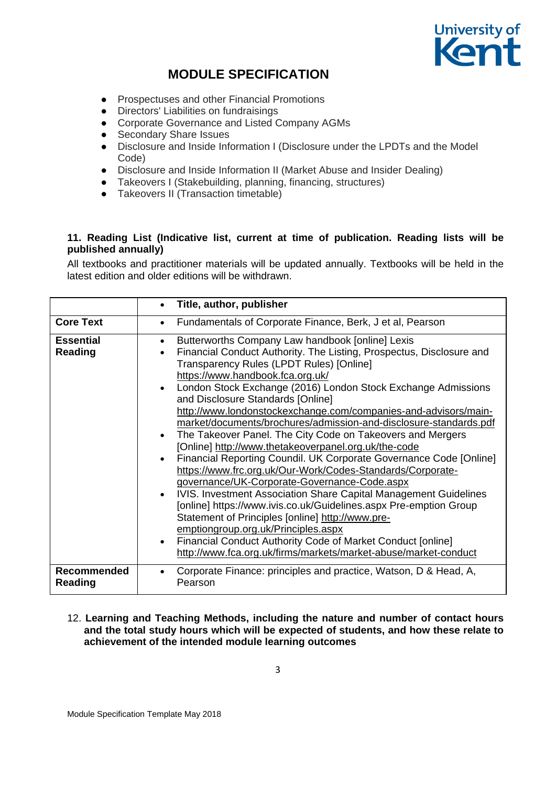

- Prospectuses and other Financial Promotions
- Directors' Liabilities on fundraisings
- Corporate Governance and Listed Company AGMs
- 
- Secondary Share Issues<br>• Disclosure and Inside Info Disclosure and Inside Information I (Disclosure under the LPDTs and the Model Code)
- Disclosure and Inside Information II (Market Abuse and Insider Dealing)
- Takeovers I (Stakebuilding, planning, financing, structures)
- Takeovers II (Transaction timetable)

## **11. Reading List (Indicative list, current at time of publication. Reading lists will be published annually)**

All textbooks and practitioner materials will be updated annually. Textbooks will be held in the latest edition and older editions will be withdrawn.

|                                      | Title, author, publisher<br>$\bullet$                                                                                                                                                                                                                                                                                                                                                                                                                                                                                                                                                                                                                                                                                                                                                                                                                                                                                                                                                                                                                                                                                                                                                                                             |
|--------------------------------------|-----------------------------------------------------------------------------------------------------------------------------------------------------------------------------------------------------------------------------------------------------------------------------------------------------------------------------------------------------------------------------------------------------------------------------------------------------------------------------------------------------------------------------------------------------------------------------------------------------------------------------------------------------------------------------------------------------------------------------------------------------------------------------------------------------------------------------------------------------------------------------------------------------------------------------------------------------------------------------------------------------------------------------------------------------------------------------------------------------------------------------------------------------------------------------------------------------------------------------------|
| <b>Core Text</b>                     | Fundamentals of Corporate Finance, Berk, J et al, Pearson<br>$\bullet$                                                                                                                                                                                                                                                                                                                                                                                                                                                                                                                                                                                                                                                                                                                                                                                                                                                                                                                                                                                                                                                                                                                                                            |
| <b>Essential</b><br>Reading          | Butterworths Company Law handbook [online] Lexis<br>$\bullet$<br>Financial Conduct Authority. The Listing, Prospectus, Disclosure and<br>$\bullet$<br>Transparency Rules (LPDT Rules) [Online]<br>https://www.handbook.fca.org.uk/<br>London Stock Exchange (2016) London Stock Exchange Admissions<br>$\bullet$<br>and Disclosure Standards [Online]<br>http://www.londonstockexchange.com/companies-and-advisors/main-<br>market/documents/brochures/admission-and-disclosure-standards.pdf<br>The Takeover Panel. The City Code on Takeovers and Mergers<br>$\bullet$<br>[Online] http://www.thetakeoverpanel.org.uk/the-code<br>Financial Reporting Coundil. UK Corporate Governance Code [Online]<br>$\bullet$<br>https://www.frc.org.uk/Our-Work/Codes-Standards/Corporate-<br>governance/UK-Corporate-Governance-Code.aspx<br>IVIS. Investment Association Share Capital Management Guidelines<br>$\bullet$<br>[online] https://www.ivis.co.uk/Guidelines.aspx Pre-emption Group<br>Statement of Principles [online] http://www.pre-<br>emptiongroup.org.uk/Principles.aspx<br>Financial Conduct Authority Code of Market Conduct [online]<br>$\bullet$<br>http://www.fca.org.uk/firms/markets/market-abuse/market-conduct |
| <b>Recommended</b><br><b>Reading</b> | Corporate Finance: principles and practice, Watson, D & Head, A,<br>$\bullet$<br>Pearson                                                                                                                                                                                                                                                                                                                                                                                                                                                                                                                                                                                                                                                                                                                                                                                                                                                                                                                                                                                                                                                                                                                                          |

#### 12. **Learning and Teaching Methods, including the nature and number of contact hours and the total study hours which will be expected of students, and how these relate to achievement of the intended module learning outcomes**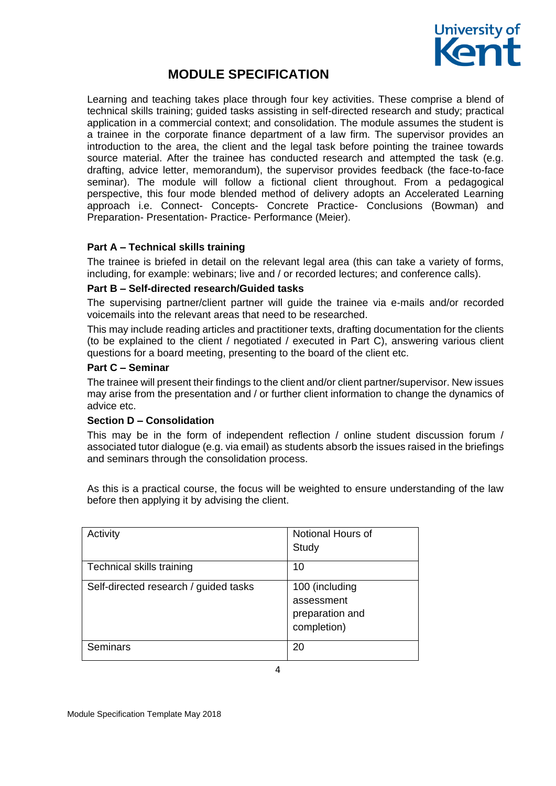

Learning and teaching takes place through four key activities. These comprise a blend of technical skills training; guided tasks assisting in self-directed research and study; practical application in a commercial context; and consolidation. The module assumes the student is a trainee in the corporate finance department of a law firm. The supervisor provides an introduction to the area, the client and the legal task before pointing the trainee towards source material. After the trainee has conducted research and attempted the task (e.g. drafting, advice letter, memorandum), the supervisor provides feedback (the face-to-face seminar). The module will follow a fictional client throughout. From a pedagogical perspective, this four mode blended method of delivery adopts an Accelerated Learning approach i.e. Connect- Concepts- Concrete Practice- Conclusions (Bowman) and Preparation- Presentation- Practice- Performance (Meier).

## **Part A – Technical skills training**

The trainee is briefed in detail on the relevant legal area (this can take a variety of forms, including, for example: webinars; live and / or recorded lectures; and conference calls).

#### **Part B – Self-directed research/Guided tasks**

The supervising partner/client partner will guide the trainee via e-mails and/or recorded voicemails into the relevant areas that need to be researched.

This may include reading articles and practitioner texts, drafting documentation for the clients (to be explained to the client / negotiated / executed in Part C), answering various client questions for a board meeting, presenting to the board of the client etc.

#### **Part C – Seminar**

The trainee will present their findings to the client and/or client partner/supervisor. New issues may arise from the presentation and / or further client information to change the dynamics of advice etc.

## **Section D – Consolidation**

This may be in the form of independent reflection / online student discussion forum / associated tutor dialogue (e.g. via email) as students absorb the issues raised in the briefings and seminars through the consolidation process.

As this is a practical course, the focus will be weighted to ensure understanding of the law before then applying it by advising the client.

| Activity                              | Notional Hours of<br>Study                                     |
|---------------------------------------|----------------------------------------------------------------|
| Technical skills training             | 10                                                             |
| Self-directed research / guided tasks | 100 (including<br>assessment<br>preparation and<br>completion) |
| <b>Seminars</b>                       | 20                                                             |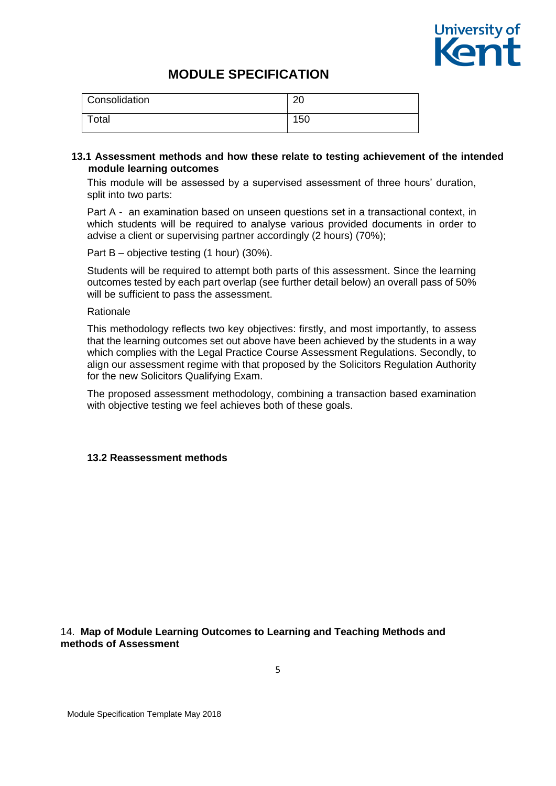

| <b>Consolidation</b> | ററ<br>∠∪ |
|----------------------|----------|
| Total                | 150      |

#### **13.1 Assessment methods and how these relate to testing achievement of the intended module learning outcomes**

This module will be assessed by a supervised assessment of three hours' duration, split into two parts:

Part A - an examination based on unseen questions set in a transactional context, in which students will be required to analyse various provided documents in order to advise a client or supervising partner accordingly (2 hours) (70%);

Part B – objective testing (1 hour) (30%).

Students will be required to attempt both parts of this assessment. Since the learning outcomes tested by each part overlap (see further detail below) an overall pass of 50% will be sufficient to pass the assessment.

#### Rationale

This methodology reflects two key objectives: firstly, and most importantly, to assess that the learning outcomes set out above have been achieved by the students in a way which complies with the Legal Practice Course Assessment Regulations. Secondly, to align our assessment regime with that proposed by the Solicitors Regulation Authority for the new Solicitors Qualifying Exam.

The proposed assessment methodology, combining a transaction based examination with objective testing we feel achieves both of these goals.

#### **13.2 Reassessment methods**

## 14. **Map of Module Learning Outcomes to Learning and Teaching Methods and methods of Assessment**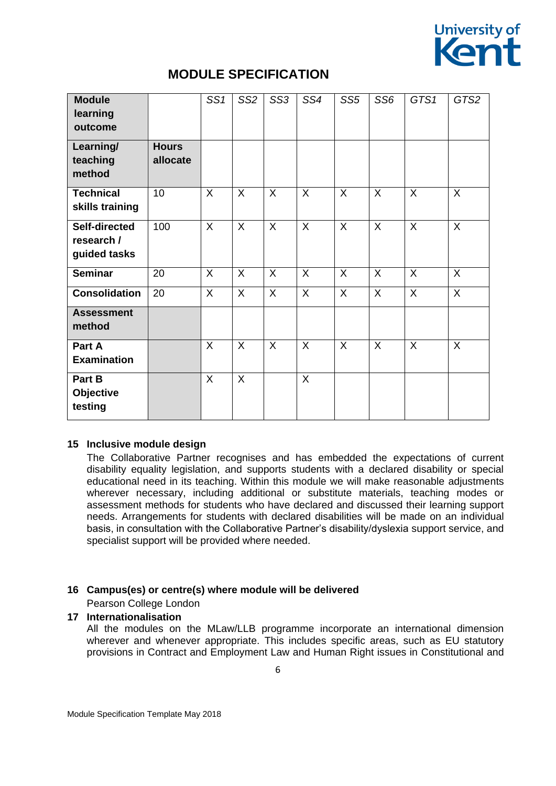

| <b>Module</b><br>learning<br>outcome        |                          | SS1          | SS <sub>2</sub> | SS <sub>3</sub> | SS4 | SS <sub>5</sub> | SS <sub>6</sub> | GTS1         | GTS2         |
|---------------------------------------------|--------------------------|--------------|-----------------|-----------------|-----|-----------------|-----------------|--------------|--------------|
| Learning/<br>teaching<br>method             | <b>Hours</b><br>allocate |              |                 |                 |     |                 |                 |              |              |
| <b>Technical</b><br>skills training         | 10                       | $\mathsf{X}$ | $\sf X$         | $\mathsf{X}$    | X   | $\sf X$         | X               | $\mathsf{X}$ | X            |
| Self-directed<br>research /<br>guided tasks | 100                      | $\mathsf{X}$ | $\sf X$         | X               | X   | X               | X               | $\mathsf{X}$ | X            |
| <b>Seminar</b>                              | 20                       | X            | $\sf X$         | X               | X   | X               | X               | X            | X            |
| <b>Consolidation</b>                        | 20                       | $\mathsf{X}$ | $\sf X$         | X               | X   | $\sf X$         | X               | $\mathsf{X}$ | $\mathsf{X}$ |
| <b>Assessment</b><br>method                 |                          |              |                 |                 |     |                 |                 |              |              |
| Part A<br><b>Examination</b>                |                          | X            | $\sf X$         | $\sf X$         | X   | $\sf X$         | $\sf X$         | $\mathsf{X}$ | X            |
| Part B<br>Objective<br>testing              |                          | $\mathsf{X}$ | $\sf X$         |                 | X   |                 |                 |              |              |

## **15 Inclusive module design**

The Collaborative Partner recognises and has embedded the expectations of current disability equality legislation, and supports students with a declared disability or special educational need in its teaching. Within this module we will make reasonable adjustments wherever necessary, including additional or substitute materials, teaching modes or assessment methods for students who have declared and discussed their learning support needs. Arrangements for students with declared disabilities will be made on an individual basis, in consultation with the Collaborative Partner's disability/dyslexia support service, and specialist support will be provided where needed.

# **16 Campus(es) or centre(s) where module will be delivered**

# Pearson College London

## **17 Internationalisation**

All the modules on the MLaw/LLB programme incorporate an international dimension wherever and whenever appropriate. This includes specific areas, such as EU statutory provisions in Contract and Employment Law and Human Right issues in Constitutional and